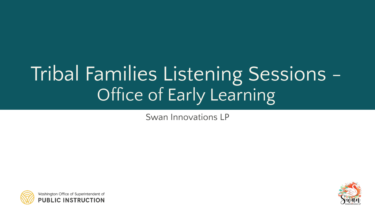# Tribal Families Listening Sessions - Office of Early Learning

Swan Innovations LP



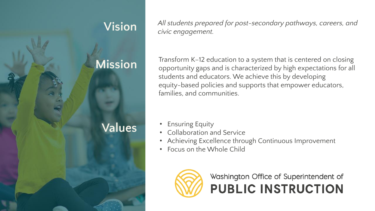

**Vision** *All students prepared for post-secondary pathways, careers, and civic engagement.*

**Mission** Transform K–12 education to a system that is centered on closing<br>opportunity gaps and is characterized by high expectations for all students and educators. We achieve this by developing equity-based policies and supports that empower educators, families, and communities.

- 
- Collaboration and Service
- Achieving Excellence through Continuous Improvement
- Focus on the Whole Child

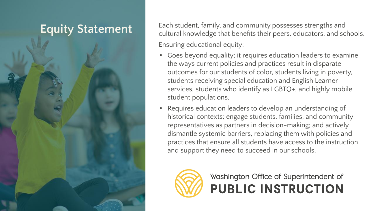**Equity Statement** Each student, family, and community possesses strengths and sc cultural knowledge that benefits their peers, educators, and schools. Ensuring educational equity:

- Goes beyond equality; it requires education leaders to examine the ways current policies and practices result in disparate outcomes for our students of color, students living in poverty, students receiving special education and English Learner services, students who identify as LGBTQ+, and highly mobile student populations.
- Requires education leaders to develop an understanding of historical contexts; engage students, families, and community representatives as partners in decision-making; and actively dismantle systemic barriers, replacing them with policies and practices that ensure all students have access to the instruction and support they need to succeed in our schools.

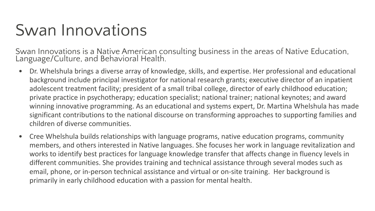#### Swan Innovations

Swan Innovations is a Native American consulting business in the areas of Native Education, Language/Culture, and Behavioral Health.

- Dr. Whelshula brings a diverse array of knowledge, skills, and expertise. Her professional and educational background include principal investigator for national research grants; executive director of an inpatient adolescent treatment facility; president of a small tribal college, director of early childhood education; private practice in psychotherapy; education specialist; national trainer; national keynotes; and award winning innovative programming. As an educational and systems expert, Dr. Martina Whelshula has made significant contributions to the national discourse on transforming approaches to supporting families and children of diverse communities.
- Cree Whelshula builds relationships with language programs, native education programs, community members, and others interested in Native languages. She focuses her work in language revitalization and works to identify best practices for language knowledge transfer that affects change in fluency levels in different communities. She provides training and technical assistance through several modes such as email, phone, or in-person technical assistance and virtual or on-site training. Her background is primarily in early childhood education with a passion for mental health.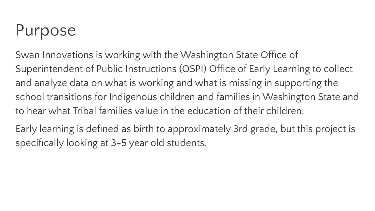# Purpose

Swan Innovations is working with the Washington State Office of Superintendent of Public Instructions (OSPI) Office of Early Learning to collect and analyze data on what is working and what is missing in supporting the school transitions for Indigenous children and families in Washington State and to hear what Tribal families value in the education of their children.

Early learning is defined as birth to approximately 3rd grade, but this project is specifically looking at 3-5 year old students.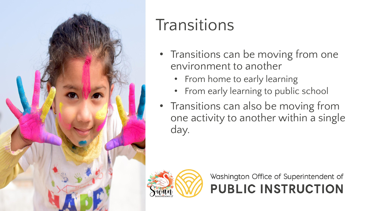

### **Transitions**

- Transitions can be moving from one environment to another
	- From home to early learning
	- From early learning to public school
- Transitions can also be moving from one activity to another within a single day.

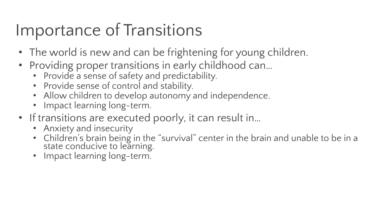## Importance of Transitions

- The world is new and can be frightening for young children.
- Providing proper transitions in early childhood can…
	- Provide a sense of safety and predictability.
	- Provide sense of control and stability.
	- Allow children to develop autonomy and independence.
	- Impact learning long-term.
- If transitions are executed poorly, it can result in...
	- Anxiety and insecurity
	- Children's brain being in the "survival" center in the brain and unable to be in a state conducive to learning.
	- Impact learning long-term.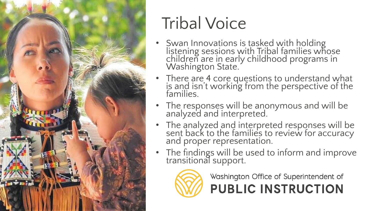

# Tribal Voice

- Swan Innovations is tasked with holding listening sessions with Tribal families whose children are in early childhood programs in<br>Washington State.
- There are 4 core questions to understand what is and isn't working from the perspective of the families.
- The responses will be anonymous and will be analyzed and interpreted.
- The analyzed and interpreted responses will be sent back to the families to review for accuracy and proper representation.
- The findings will be used to inform and improve transitional support.